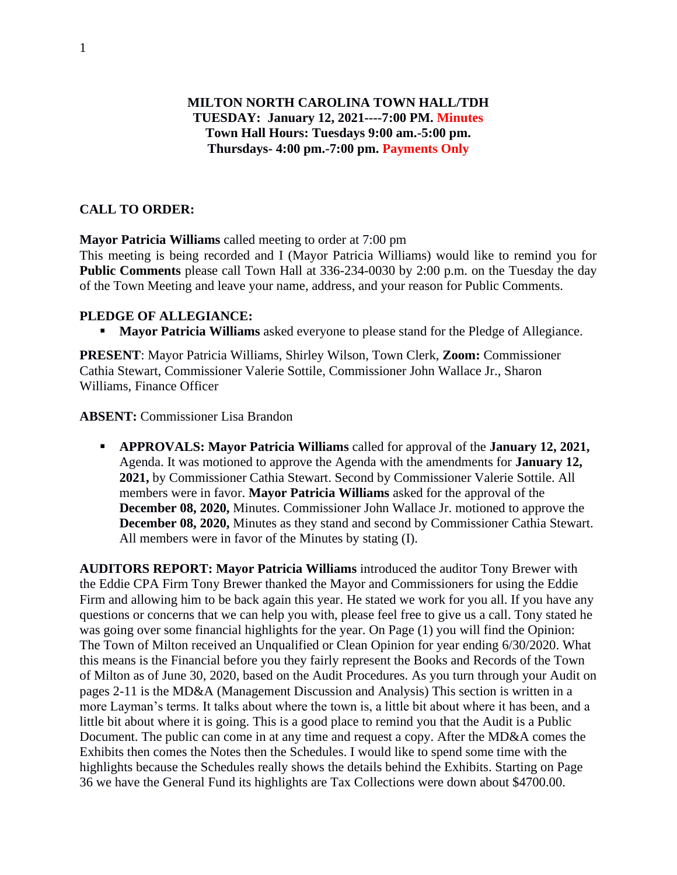# **MILTON NORTH CAROLINA TOWN HALL/TDH TUESDAY: January 12, 2021----7:00 PM. Minutes Town Hall Hours: Tuesdays 9:00 am.-5:00 pm. Thursdays- 4:00 pm.-7:00 pm. Payments Only**

## **CALL TO ORDER:**

**Mayor Patricia Williams** called meeting to order at 7:00 pm

This meeting is being recorded and I (Mayor Patricia Williams) would like to remind you for **Public Comments** please call Town Hall at 336-234-0030 by 2:00 p.m. on the Tuesday the day of the Town Meeting and leave your name, address, and your reason for Public Comments.

### **PLEDGE OF ALLEGIANCE:**

▪ **Mayor Patricia Williams** asked everyone to please stand for the Pledge of Allegiance.

**PRESENT**: Mayor Patricia Williams, Shirley Wilson, Town Clerk, **Zoom:** Commissioner Cathia Stewart, Commissioner Valerie Sottile, Commissioner John Wallace Jr., Sharon Williams, Finance Officer

**ABSENT:** Commissioner Lisa Brandon

▪ **APPROVALS: Mayor Patricia Williams** called for approval of the **January 12, 2021,** Agenda. It was motioned to approve the Agenda with the amendments for **January 12, 2021,** by Commissioner Cathia Stewart. Second by Commissioner Valerie Sottile. All members were in favor. **Mayor Patricia Williams** asked for the approval of the **December 08, 2020,** Minutes. Commissioner John Wallace Jr. motioned to approve the **December 08, 2020,** Minutes as they stand and second by Commissioner Cathia Stewart. All members were in favor of the Minutes by stating (I).

**AUDITORS REPORT: Mayor Patricia Williams** introduced the auditor Tony Brewer with the Eddie CPA Firm Tony Brewer thanked the Mayor and Commissioners for using the Eddie Firm and allowing him to be back again this year. He stated we work for you all. If you have any questions or concerns that we can help you with, please feel free to give us a call. Tony stated he was going over some financial highlights for the year. On Page (1) you will find the Opinion: The Town of Milton received an Unqualified or Clean Opinion for year ending 6/30/2020. What this means is the Financial before you they fairly represent the Books and Records of the Town of Milton as of June 30, 2020, based on the Audit Procedures. As you turn through your Audit on pages 2-11 is the MD&A (Management Discussion and Analysis) This section is written in a more Layman's terms. It talks about where the town is, a little bit about where it has been, and a little bit about where it is going. This is a good place to remind you that the Audit is a Public Document. The public can come in at any time and request a copy. After the MD&A comes the Exhibits then comes the Notes then the Schedules. I would like to spend some time with the highlights because the Schedules really shows the details behind the Exhibits. Starting on Page 36 we have the General Fund its highlights are Tax Collections were down about \$4700.00.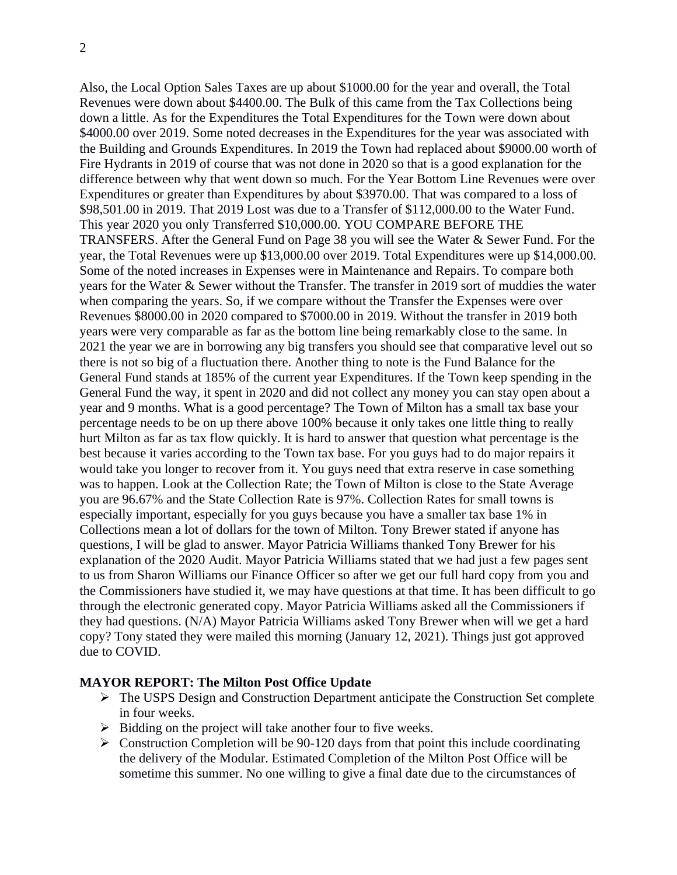Also, the Local Option Sales Taxes are up about \$1000.00 for the year and overall, the Total Revenues were down about \$4400.00. The Bulk of this came from the Tax Collections being down a little. As for the Expenditures the Total Expenditures for the Town were down about \$4000.00 over 2019. Some noted decreases in the Expenditures for the year was associated with the Building and Grounds Expenditures. In 2019 the Town had replaced about \$9000.00 worth of Fire Hydrants in 2019 of course that was not done in 2020 so that is a good explanation for the difference between why that went down so much. For the Year Bottom Line Revenues were over Expenditures or greater than Expenditures by about \$3970.00. That was compared to a loss of \$98,501.00 in 2019. That 2019 Lost was due to a Transfer of \$112,000.00 to the Water Fund. This year 2020 you only Transferred \$10,000.00. YOU COMPARE BEFORE THE TRANSFERS. After the General Fund on Page 38 you will see the Water & Sewer Fund. For the year, the Total Revenues were up \$13,000.00 over 2019. Total Expenditures were up \$14,000.00. Some of the noted increases in Expenses were in Maintenance and Repairs. To compare both years for the Water & Sewer without the Transfer. The transfer in 2019 sort of muddies the water when comparing the years. So, if we compare without the Transfer the Expenses were over Revenues \$8000.00 in 2020 compared to \$7000.00 in 2019. Without the transfer in 2019 both years were very comparable as far as the bottom line being remarkably close to the same. In 2021 the year we are in borrowing any big transfers you should see that comparative level out so there is not so big of a fluctuation there. Another thing to note is the Fund Balance for the General Fund stands at 185% of the current year Expenditures. If the Town keep spending in the General Fund the way, it spent in 2020 and did not collect any money you can stay open about a year and 9 months. What is a good percentage? The Town of Milton has a small tax base your percentage needs to be on up there above 100% because it only takes one little thing to really hurt Milton as far as tax flow quickly. It is hard to answer that question what percentage is the best because it varies according to the Town tax base. For you guys had to do major repairs it would take you longer to recover from it. You guys need that extra reserve in case something was to happen. Look at the Collection Rate; the Town of Milton is close to the State Average you are 96.67% and the State Collection Rate is 97%. Collection Rates for small towns is especially important, especially for you guys because you have a smaller tax base 1% in Collections mean a lot of dollars for the town of Milton. Tony Brewer stated if anyone has questions, I will be glad to answer. Mayor Patricia Williams thanked Tony Brewer for his explanation of the 2020 Audit. Mayor Patricia Williams stated that we had just a few pages sent to us from Sharon Williams our Finance Officer so after we get our full hard copy from you and the Commissioners have studied it, we may have questions at that time. It has been difficult to go through the electronic generated copy. Mayor Patricia Williams asked all the Commissioners if they had questions. (N/A) Mayor Patricia Williams asked Tony Brewer when will we get a hard copy? Tony stated they were mailed this morning (January 12, 2021). Things just got approved due to COVID.

#### **MAYOR REPORT: The Milton Post Office Update**

- ➢ The USPS Design and Construction Department anticipate the Construction Set complete in four weeks.
- ➢ Bidding on the project will take another four to five weeks.
- $\triangleright$  Construction Completion will be 90-120 days from that point this include coordinating the delivery of the Modular. Estimated Completion of the Milton Post Office will be sometime this summer. No one willing to give a final date due to the circumstances of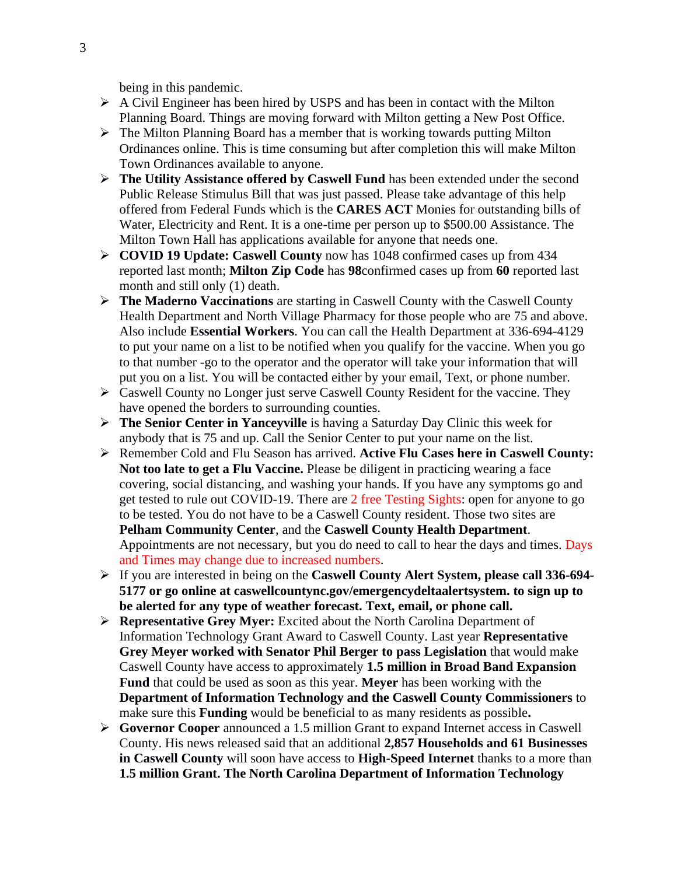being in this pandemic.

- $\triangleright$  A Civil Engineer has been hired by USPS and has been in contact with the Milton Planning Board. Things are moving forward with Milton getting a New Post Office.
- $\triangleright$  The Milton Planning Board has a member that is working towards putting Milton Ordinances online. This is time consuming but after completion this will make Milton Town Ordinances available to anyone.
- ➢ **The Utility Assistance offered by Caswell Fund** has been extended under the second Public Release Stimulus Bill that was just passed. Please take advantage of this help offered from Federal Funds which is the **CARES ACT** Monies for outstanding bills of Water, Electricity and Rent. It is a one-time per person up to \$500.00 Assistance. The Milton Town Hall has applications available for anyone that needs one.
- ➢ **COVID 19 Update: Caswell County** now has 1048 confirmed cases up from 434 reported last month; **Milton Zip Code** has **98**confirmed cases up from **60** reported last month and still only (1) death.
- ➢ **The Maderno Vaccinations** are starting in Caswell County with the Caswell County Health Department and North Village Pharmacy for those people who are 75 and above. Also include **Essential Workers**. You can call the Health Department at 336-694-4129 to put your name on a list to be notified when you qualify for the vaccine. When you go to that number -go to the operator and the operator will take your information that will put you on a list. You will be contacted either by your email, Text, or phone number.
- ➢ Caswell County no Longer just serve Caswell County Resident for the vaccine. They have opened the borders to surrounding counties.
- ➢ **The Senior Center in Yanceyville** is having a Saturday Day Clinic this week for anybody that is 75 and up. Call the Senior Center to put your name on the list.
- ➢ Remember Cold and Flu Season has arrived. **Active Flu Cases here in Caswell County: Not too late to get a Flu Vaccine.** Please be diligent in practicing wearing a face covering, social distancing, and washing your hands. If you have any symptoms go and get tested to rule out COVID-19. There are 2 free Testing Sights: open for anyone to go to be tested. You do not have to be a Caswell County resident. Those two sites are **Pelham Community Center**, and the **Caswell County Health Department**. Appointments are not necessary, but you do need to call to hear the days and times. Days and Times may change due to increased numbers.
- ➢ If you are interested in being on the **Caswell County Alert System, please call 336-694- 5177 or go online at caswellcountync.gov/emergencydeltaalertsystem. to sign up to be alerted for any type of weather forecast. Text, email, or phone call.**
- ➢ **Representative Grey Myer:** Excited about the North Carolina Department of Information Technology Grant Award to Caswell County. Last year **Representative Grey Meyer worked with Senator Phil Berger to pass Legislation** that would make Caswell County have access to approximately **1.5 million in Broad Band Expansion Fund** that could be used as soon as this year. **Meyer** has been working with the **Department of Information Technology and the Caswell County Commissioners** to make sure this **Funding** would be beneficial to as many residents as possible**.**
- ➢ **Governor Cooper** announced a 1.5 million Grant to expand Internet access in Caswell County. His news released said that an additional **2,857 Households and 61 Businesses in Caswell County** will soon have access to **High-Speed Internet** thanks to a more than **1.5 million Grant. The North Carolina Department of Information Technology**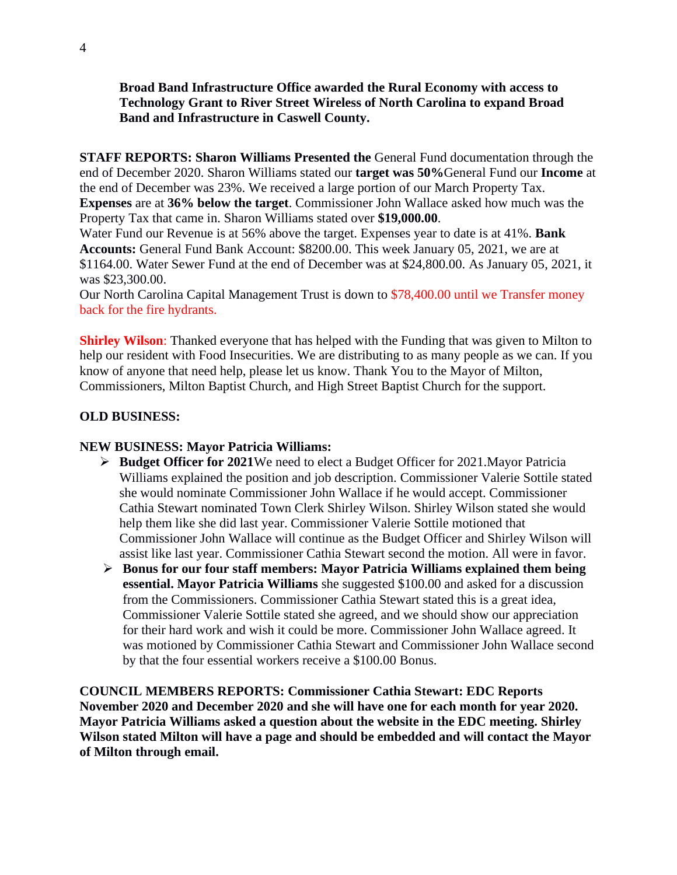**Broad Band Infrastructure Office awarded the Rural Economy with access to Technology Grant to River Street Wireless of North Carolina to expand Broad Band and Infrastructure in Caswell County.**

**STAFF REPORTS: Sharon Williams Presented the** General Fund documentation through the end of December 2020. Sharon Williams stated our **target was 50%**General Fund our **Income** at the end of December was 23%. We received a large portion of our March Property Tax. **Expenses** are at **36% below the target**. Commissioner John Wallace asked how much was the Property Tax that came in. Sharon Williams stated over **\$19,000.00**.

Water Fund our Revenue is at 56% above the target. Expenses year to date is at 41%. **Bank Accounts:** General Fund Bank Account: \$8200.00. This week January 05, 2021, we are at \$1164.00. Water Sewer Fund at the end of December was at \$24,800.00. As January 05, 2021, it was \$23,300.00.

Our North Carolina Capital Management Trust is down to \$78,400.00 until we Transfer money back for the fire hydrants.

**Shirley Wilson:** Thanked everyone that has helped with the Funding that was given to Milton to help our resident with Food Insecurities. We are distributing to as many people as we can. If you know of anyone that need help, please let us know. Thank You to the Mayor of Milton, Commissioners, Milton Baptist Church, and High Street Baptist Church for the support.

## **OLD BUSINESS:**

### **NEW BUSINESS: Mayor Patricia Williams:**

- ➢ **Budget Officer for 2021**We need to elect a Budget Officer for 2021.Mayor Patricia Williams explained the position and job description. Commissioner Valerie Sottile stated she would nominate Commissioner John Wallace if he would accept. Commissioner Cathia Stewart nominated Town Clerk Shirley Wilson. Shirley Wilson stated she would help them like she did last year. Commissioner Valerie Sottile motioned that Commissioner John Wallace will continue as the Budget Officer and Shirley Wilson will assist like last year. Commissioner Cathia Stewart second the motion. All were in favor.
- ➢ **Bonus for our four staff members: Mayor Patricia Williams explained them being essential. Mayor Patricia Williams** she suggested \$100.00 and asked for a discussion from the Commissioners. Commissioner Cathia Stewart stated this is a great idea, Commissioner Valerie Sottile stated she agreed, and we should show our appreciation for their hard work and wish it could be more. Commissioner John Wallace agreed. It was motioned by Commissioner Cathia Stewart and Commissioner John Wallace second by that the four essential workers receive a \$100.00 Bonus.

**COUNCIL MEMBERS REPORTS: Commissioner Cathia Stewart: EDC Reports November 2020 and December 2020 and she will have one for each month for year 2020. Mayor Patricia Williams asked a question about the website in the EDC meeting. Shirley Wilson stated Milton will have a page and should be embedded and will contact the Mayor of Milton through email.**